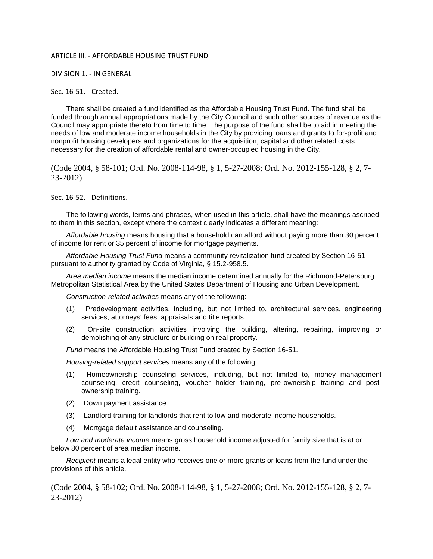## ARTICLE III. - AFFORDABLE HOUSING TRUST FUND

DIVISION 1. - IN GENERAL

## Sec. 16-51. - Created.

There shall be created a fund identified as the Affordable Housing Trust Fund. The fund shall be funded through annual appropriations made by the City Council and such other sources of revenue as the Council may appropriate thereto from time to time. The purpose of the fund shall be to aid in meeting the needs of low and moderate income households in the City by providing loans and grants to for-profit and nonprofit housing developers and organizations for the acquisition, capital and other related costs necessary for the creation of affordable rental and owner-occupied housing in the City.

(Code 2004, § 58-101; Ord. No. 2008-114-98, § 1, 5-27-2008; Ord. No. 2012-155-128, § 2, 7- 23-2012)

Sec. 16-52. - Definitions.

The following words, terms and phrases, when used in this article, shall have the meanings ascribed to them in this section, except where the context clearly indicates a different meaning:

*Affordable housing* means housing that a household can afford without paying more than 30 percent of income for rent or 35 percent of income for mortgage payments.

*Affordable Housing Trust Fund* means a community revitalization fund created by Section 16-51 pursuant to authority granted by Code of Virginia, § 15.2-958.5.

*Area median income* means the median income determined annually for the Richmond-Petersburg Metropolitan Statistical Area by the United States Department of Housing and Urban Development.

*Construction-related activities* means any of the following:

- (1) Predevelopment activities, including, but not limited to, architectural services, engineering services, attorneys' fees, appraisals and title reports.
- (2) On-site construction activities involving the building, altering, repairing, improving or demolishing of any structure or building on real property.

*Fund* means the Affordable Housing Trust Fund created by Section 16-51.

*Housing-related support services* means any of the following:

- (1) Homeownership counseling services, including, but not limited to, money management counseling, credit counseling, voucher holder training, pre-ownership training and postownership training.
- (2) Down payment assistance.
- (3) Landlord training for landlords that rent to low and moderate income households.
- (4) Mortgage default assistance and counseling.

*Low and moderate income* means gross household income adjusted for family size that is at or below 80 percent of area median income.

*Recipient* means a legal entity who receives one or more grants or loans from the fund under the provisions of this article.

(Code 2004, § 58-102; Ord. No. 2008-114-98, § 1, 5-27-2008; Ord. No. 2012-155-128, § 2, 7- 23-2012)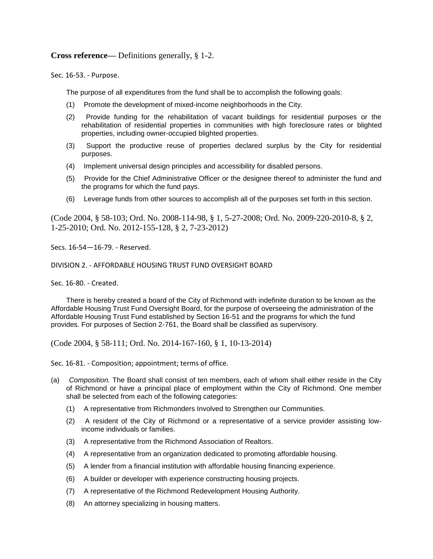**Cross reference—** Definitions generally, § 1-2.

Sec. 16-53. - Purpose.

The purpose of all expenditures from the fund shall be to accomplish the following goals:

- (1) Promote the development of mixed-income neighborhoods in the City.
- (2) Provide funding for the rehabilitation of vacant buildings for residential purposes or the rehabilitation of residential properties in communities with high foreclosure rates or blighted properties, including owner-occupied blighted properties.
- (3) Support the productive reuse of properties declared surplus by the City for residential purposes.
- (4) Implement universal design principles and accessibility for disabled persons.
- (5) Provide for the Chief Administrative Officer or the designee thereof to administer the fund and the programs for which the fund pays.
- (6) Leverage funds from other sources to accomplish all of the purposes set forth in this section.

(Code 2004, § 58-103; Ord. No. 2008-114-98, § 1, 5-27-2008; Ord. No. 2009-220-2010-8, § 2, 1-25-2010; Ord. No. 2012-155-128, § 2, 7-23-2012)

Secs. 16-54—16-79. - Reserved.

DIVISION 2. - AFFORDABLE HOUSING TRUST FUND OVERSIGHT BOARD

Sec. 16-80. - Created.

There is hereby created a board of the City of Richmond with indefinite duration to be known as the Affordable Housing Trust Fund Oversight Board, for the purpose of overseeing the administration of the Affordable Housing Trust Fund established by Section 16-51 and the programs for which the fund provides. For purposes of Section 2-761, the Board shall be classified as supervisory.

(Code 2004, § 58-111; Ord. No. 2014-167-160, § 1, 10-13-2014)

Sec. 16-81. - Composition; appointment; terms of office.

- (a) *Composition.* The Board shall consist of ten members, each of whom shall either reside in the City of Richmond or have a principal place of employment within the City of Richmond. One member shall be selected from each of the following categories:
	- (1) A representative from Richmonders Involved to Strengthen our Communities.
	- (2) A resident of the City of Richmond or a representative of a service provider assisting lowincome individuals or families.
	- (3) A representative from the Richmond Association of Realtors.
	- (4) A representative from an organization dedicated to promoting affordable housing.
	- (5) A lender from a financial institution with affordable housing financing experience.
	- (6) A builder or developer with experience constructing housing projects.
	- (7) A representative of the Richmond Redevelopment Housing Authority.
	- (8) An attorney specializing in housing matters.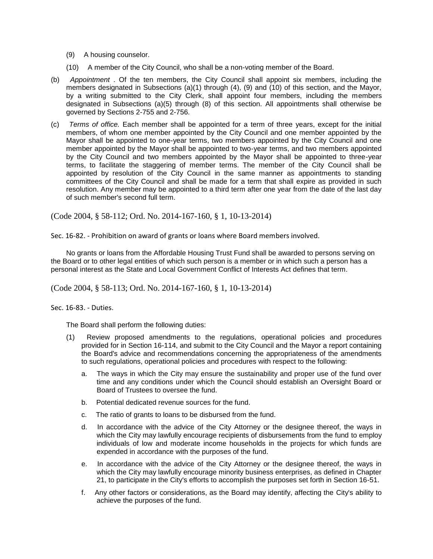- (9) A housing counselor.
- (10) A member of the City Council, who shall be a non-voting member of the Board.
- (b) *Appointment* . Of the ten members, the City Council shall appoint six members, including the members designated in Subsections (a)(1) through (4), (9) and (10) of this section, and the Mayor, by a writing submitted to the City Clerk, shall appoint four members, including the members designated in Subsections (a)(5) through (8) of this section. All appointments shall otherwise be governed by Sections 2-755 and 2-756.
- (c) *Terms of office.* Each member shall be appointed for a term of three years, except for the initial members, of whom one member appointed by the City Council and one member appointed by the Mayor shall be appointed to one-year terms, two members appointed by the City Council and one member appointed by the Mayor shall be appointed to two-year terms, and two members appointed by the City Council and two members appointed by the Mayor shall be appointed to three-year terms, to facilitate the staggering of member terms. The member of the City Council shall be appointed by resolution of the City Council in the same manner as appointments to standing committees of the City Council and shall be made for a term that shall expire as provided in such resolution. Any member may be appointed to a third term after one year from the date of the last day of such member's second full term.

(Code 2004, § 58-112; Ord. No. 2014-167-160, § 1, 10-13-2014)

Sec. 16-82. - Prohibition on award of grants or loans where Board members involved.

No grants or loans from the Affordable Housing Trust Fund shall be awarded to persons serving on the Board or to other legal entities of which such person is a member or in which such a person has a personal interest as the State and Local Government Conflict of Interests Act defines that term.

(Code 2004, § 58-113; Ord. No. 2014-167-160, § 1, 10-13-2014)

Sec. 16-83. - Duties.

The Board shall perform the following duties:

- (1) Review proposed amendments to the regulations, operational policies and procedures provided for in Section 16-114, and submit to the City Council and the Mayor a report containing the Board's advice and recommendations concerning the appropriateness of the amendments to such regulations, operational policies and procedures with respect to the following:
	- a. The ways in which the City may ensure the sustainability and proper use of the fund over time and any conditions under which the Council should establish an Oversight Board or Board of Trustees to oversee the fund.
	- b. Potential dedicated revenue sources for the fund.
	- c. The ratio of grants to loans to be disbursed from the fund.
	- d. In accordance with the advice of the City Attorney or the designee thereof, the ways in which the City may lawfully encourage recipients of disbursements from the fund to employ individuals of low and moderate income households in the projects for which funds are expended in accordance with the purposes of the fund.
	- e. In accordance with the advice of the City Attorney or the designee thereof, the ways in which the City may lawfully encourage minority business enterprises, as defined in Chapter 21, to participate in the City's efforts to accomplish the purposes set forth in Section 16-51.
	- f. Any other factors or considerations, as the Board may identify, affecting the City's ability to achieve the purposes of the fund.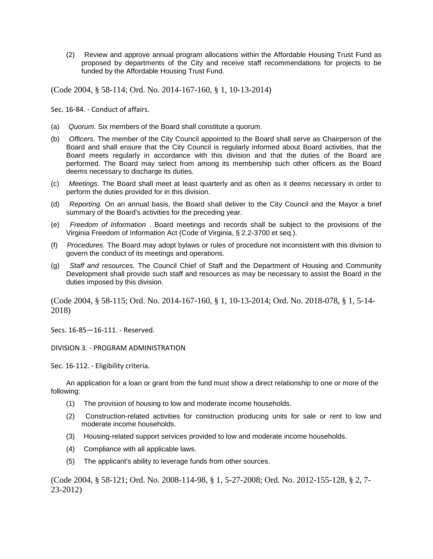(2) Review and approve annual program allocations within the Affordable Housing Trust Fund as proposed by departments of the City and receive staff recommendations for projects to be funded by the Affordable Housing Trust Fund.

(Code 2004, § 58-114; Ord. No. 2014-167-160, § 1, 10-13-2014)

Sec. 16-84. - Conduct of affairs.

- (a) *Quorum.* Six members of the Board shall constitute a quorum.
- (b) *Officers.* The member of the City Council appointed to the Board shall serve as Chairperson of the Board and shall ensure that the City Council is regularly informed about Board activities, that the Board meets regularly in accordance with this division and that the duties of the Board are performed. The Board may select from among its membership such other officers as the Board deems necessary to discharge its duties.
- (c) *Meetings.* The Board shall meet at least quarterly and as often as it deems necessary in order to perform the duties provided for in this division.
- (d) *Reporting.* On an annual basis, the Board shall deliver to the City Council and the Mayor a brief summary of the Board's activities for the preceding year.
- (e) *Freedom of Information* . Board meetings and records shall be subject to the provisions of the Virginia Freedom of Information Act (Code of Virginia, § 2.2-3700 et seq.).
- (f) *Procedures.* The Board may adopt bylaws or rules of procedure not inconsistent with this division to govern the conduct of its meetings and operations.
- (g) *Staff and resources.* The Council Chief of Staff and the Department of Housing and Community Development shall provide such staff and resources as may be necessary to assist the Board in the duties imposed by this division.

(Code 2004, § 58-115; Ord. No. 2014-167-160, § 1, 10-13-2014; Ord. No. 2018-078, § 1, 5-14- 2018)

Secs. 16-85—16-111. - Reserved.

DIVISION 3. - PROGRAM ADMINISTRATION

Sec. 16-112. - Eligibility criteria.

An application for a loan or grant from the fund must show a direct relationship to one or more of the following:

- (1) The provision of housing to low and moderate income households.
- (2) Construction-related activities for construction producing units for sale or rent to low and moderate income households.
- (3) Housing-related support services provided to low and moderate income households.
- (4) Compliance with all applicable laws.
- (5) The applicant's ability to leverage funds from other sources.

(Code 2004, § 58-121; Ord. No. 2008-114-98, § 1, 5-27-2008; Ord. No. 2012-155-128, § 2, 7- 23-2012)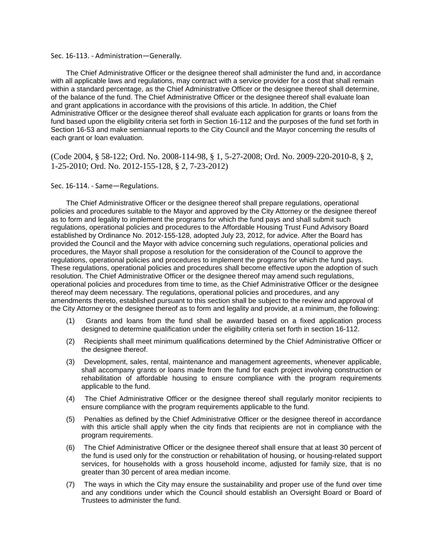## Sec. 16-113. - Administration—Generally.

The Chief Administrative Officer or the designee thereof shall administer the fund and, in accordance with all applicable laws and regulations, may contract with a service provider for a cost that shall remain within a standard percentage, as the Chief Administrative Officer or the designee thereof shall determine, of the balance of the fund. The Chief Administrative Officer or the designee thereof shall evaluate loan and grant applications in accordance with the provisions of this article. In addition, the Chief Administrative Officer or the designee thereof shall evaluate each application for grants or loans from the fund based upon the eligibility criteria set forth in Section 16-112 and the purposes of the fund set forth in Section 16-53 and make semiannual reports to the City Council and the Mayor concerning the results of each grant or loan evaluation.

(Code 2004, § 58-122; Ord. No. 2008-114-98, § 1, 5-27-2008; Ord. No. 2009-220-2010-8, § 2, 1-25-2010; Ord. No. 2012-155-128, § 2, 7-23-2012)

## Sec. 16-114. - Same—Regulations.

The Chief Administrative Officer or the designee thereof shall prepare regulations, operational policies and procedures suitable to the Mayor and approved by the City Attorney or the designee thereof as to form and legality to implement the programs for which the fund pays and shall submit such regulations, operational policies and procedures to the Affordable Housing Trust Fund Advisory Board established by Ordinance No. 2012-155-128, adopted July 23, 2012, for advice. After the Board has provided the Council and the Mayor with advice concerning such regulations, operational policies and procedures, the Mayor shall propose a resolution for the consideration of the Council to approve the regulations, operational policies and procedures to implement the programs for which the fund pays. These regulations, operational policies and procedures shall become effective upon the adoption of such resolution. The Chief Administrative Officer or the designee thereof may amend such regulations, operational policies and procedures from time to time, as the Chief Administrative Officer or the designee thereof may deem necessary. The regulations, operational policies and procedures, and any amendments thereto, established pursuant to this section shall be subject to the review and approval of the City Attorney or the designee thereof as to form and legality and provide, at a minimum, the following:

- (1) Grants and loans from the fund shall be awarded based on a fixed application process designed to determine qualification under the eligibility criteria set forth in section 16-112.
- (2) Recipients shall meet minimum qualifications determined by the Chief Administrative Officer or the designee thereof.
- (3) Development, sales, rental, maintenance and management agreements, whenever applicable, shall accompany grants or loans made from the fund for each project involving construction or rehabilitation of affordable housing to ensure compliance with the program requirements applicable to the fund.
- (4) The Chief Administrative Officer or the designee thereof shall regularly monitor recipients to ensure compliance with the program requirements applicable to the fund.
- (5) Penalties as defined by the Chief Administrative Officer or the designee thereof in accordance with this article shall apply when the city finds that recipients are not in compliance with the program requirements.
- (6) The Chief Administrative Officer or the designee thereof shall ensure that at least 30 percent of the fund is used only for the construction or rehabilitation of housing, or housing-related support services, for households with a gross household income, adjusted for family size, that is no greater than 30 percent of area median income.
- (7) The ways in which the City may ensure the sustainability and proper use of the fund over time and any conditions under which the Council should establish an Oversight Board or Board of Trustees to administer the fund.